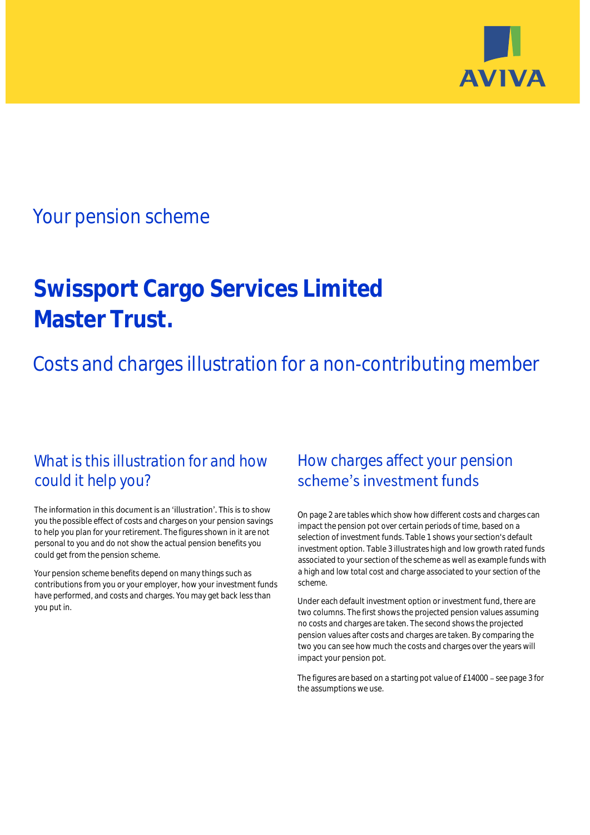

# Your pension scheme

# **Swissport Cargo Services Limited Master Trust.**

Costs and charges illustration for a non-contributing member

# What is this illustration for and how could it help you?

### The information in this document is an 'illustration'. This is to show you the possible effect of costs and charges on your pension savings to help you plan for your retirement. The figures shown in it are not personal to you and do not show the actual pension benefits you could get from the pension scheme.

Your pension scheme benefits depend on many things such as contributions from you or your employer, how your investment funds have performed, and costs and charges. You may get back less than you put in.

# How charges affect your pension scheme's investment funds

On page 2 are tables which show how different costs and charges can impact the pension pot over certain periods of time, based on a selection of investment funds. Table 1 shows your section's default investment option. Table 3 illustrates high and low growth rated funds associated to your section of the scheme as well as example funds with a high and low total cost and charge associated to your section of the scheme.

Under each default investment option or investment fund, there are two columns. The first shows the projected pension values assuming no costs and charges are taken. The second shows the projected pension values after costs and charges are taken. By comparing the two you can see how much the costs and charges over the years will impact your pension pot.

The figures are based on a starting pot value of £14000 - see page 3 for the assumptions we use.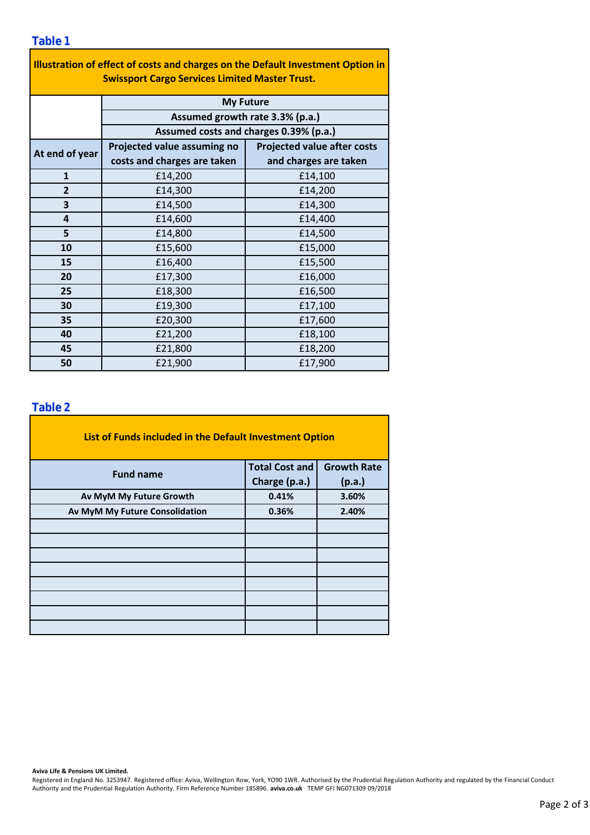| Illustration of effect of costs and charges on the Default Investment Option in<br><b>Swissport Cargo Services Limited Master Trust.</b> |                                        |                                    |  |  |  |  |  |  |  |
|------------------------------------------------------------------------------------------------------------------------------------------|----------------------------------------|------------------------------------|--|--|--|--|--|--|--|
|                                                                                                                                          | <b>My Future</b>                       |                                    |  |  |  |  |  |  |  |
|                                                                                                                                          | Assumed growth rate 3.3% (p.a.)        |                                    |  |  |  |  |  |  |  |
|                                                                                                                                          | Assumed costs and charges 0.39% (p.a.) |                                    |  |  |  |  |  |  |  |
| At end of year                                                                                                                           | Projected value assuming no            | <b>Projected value after costs</b> |  |  |  |  |  |  |  |
|                                                                                                                                          | costs and charges are taken            | and charges are taken              |  |  |  |  |  |  |  |
| $\mathbf{1}$                                                                                                                             | £14,200                                | £14,100                            |  |  |  |  |  |  |  |
| $\overline{2}$                                                                                                                           | £14,300                                | £14,200                            |  |  |  |  |  |  |  |
| 3                                                                                                                                        | £14,500                                | £14,300                            |  |  |  |  |  |  |  |
| 4                                                                                                                                        | £14,600                                | £14,400                            |  |  |  |  |  |  |  |
| 5                                                                                                                                        | £14,800                                | £14,500                            |  |  |  |  |  |  |  |
| 10                                                                                                                                       | £15,600                                | £15,000                            |  |  |  |  |  |  |  |
| 15                                                                                                                                       | £16,400                                | £15,500                            |  |  |  |  |  |  |  |
| 20                                                                                                                                       | £17,300                                | £16,000                            |  |  |  |  |  |  |  |
| 25                                                                                                                                       | £18,300                                | £16,500                            |  |  |  |  |  |  |  |
| 30                                                                                                                                       | £19,300                                | £17,100                            |  |  |  |  |  |  |  |
| 35                                                                                                                                       | £20,300                                | £17,600                            |  |  |  |  |  |  |  |
| 40                                                                                                                                       | £21,200                                | £18,100                            |  |  |  |  |  |  |  |
| 45                                                                                                                                       | £21,800                                | £18,200                            |  |  |  |  |  |  |  |
| 50                                                                                                                                       | £21,900                                | £17,900                            |  |  |  |  |  |  |  |

÷,

### **Table 2**

| List of Funds included in the Default Investment Option |                       |                    |  |  |  |  |  |  |
|---------------------------------------------------------|-----------------------|--------------------|--|--|--|--|--|--|
| <b>Fund name</b>                                        | <b>Total Cost and</b> | <b>Growth Rate</b> |  |  |  |  |  |  |
|                                                         | Charge (p.a.)         | (p.a.)             |  |  |  |  |  |  |
| Av MyM My Future Growth                                 | 0.41%                 | 3.60%              |  |  |  |  |  |  |
| Av MyM My Future Consolidation                          | 0.36%                 | 2.40%              |  |  |  |  |  |  |
|                                                         |                       |                    |  |  |  |  |  |  |
|                                                         |                       |                    |  |  |  |  |  |  |
|                                                         |                       |                    |  |  |  |  |  |  |
|                                                         |                       |                    |  |  |  |  |  |  |
|                                                         |                       |                    |  |  |  |  |  |  |
|                                                         |                       |                    |  |  |  |  |  |  |
|                                                         |                       |                    |  |  |  |  |  |  |
|                                                         |                       |                    |  |  |  |  |  |  |

#### **Aviva Life & Pensions UK Limited.**

Registered in England No. 3253947. Registered office: Aviva, Wellington Row, York, YO90 1WR. Authorised by the Prudential Regulation Authority and regulated by the Financial Conduct Authority and the Prudential Regulation Authority. Firm Reference Number 185896. **aviva.co.uk** TEMP GFI NG071309 09/2018